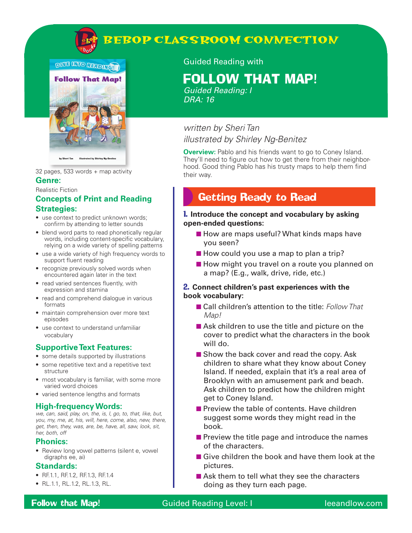

# **BEBOP CLASSROOM CONNECTION**



32 pages, 533 words + map activity

### **Genre:**

#### Realistic Fiction

#### **Concepts of Print and Reading Strategies:**

- use context to predict unknown words; confirm by attending to letter sounds
- blend word parts to read phonetically regular words, including content-specific vocabulary, relying on a wide variety of spelling patterns
- use a wide variety of high frequency words to support fluent reading
- recognize previously solved words when encountered again later in the text
- read varied sentences fluently, with expression and stamina
- read and comprehend dialogue in various formats
- maintain comprehension over more text episodes
- use context to understand unfamiliar vocabulary

#### **Supportive Text Features:**

- some details supported by illustrations
- some repetitive text and a repetitive text structure
- most vocabulary is familiar, with some more varied word choices
- varied sentence lengths and formats

#### **High-frequency Words:**

*we, can, said, play, on, the, is, I, go, to, that, like, but, you, my, me, at, his, will, here, come, also, new, there, get, then, they, was, are, be, have, all, saw, look, sit, her, both, off*

#### **Phonics:**

• Review long vowel patterns (silent e, vowel digraphs ee, ai)

#### **Standards:**

- RF.1.1, RF.1.2, RF.1.3, RF.1.4
- RL.1.1, RL.1.2, RL.1.3, RL.

#### Guided Reading with

# FOLLOW THAT MAP!

*Guided Reading: I DRA: 16*

### *written by Sheri Tan illustrated by Shirley Ng-Benitez*

**Overview:** Pablo and his friends want to go to Coney Island. They'll need to figure out how to get there from their neighborhood. Good thing Pablo has his trusty maps to help them find their way.

## Getting Ready to Read

#### 1. **Introduce the concept and vocabulary by asking open-ended questions:**

- How are maps useful? What kinds maps have you seen?
- How could you use a map to plan a trip?
- How might you travel on a route you planned on a map? (E.g., walk, drive, ride, etc.)

#### 2. **Connect children's past experiences with the book vocabulary:**

- Call children's attention to the title: *Follow That Map!*
- Ask children to use the title and picture on the cover to predict what the characters in the book will do.
- Show the back cover and read the copy. Ask children to share what they know about Coney Island. If needed, explain that it's a real area of Brooklyn with an amusement park and beach. Ask children to predict how the children might get to Coney Island.
- Preview the table of contents. Have children suggest some words they might read in the book.
- Preview the title page and introduce the names of the characters.
- Give children the book and have them look at the pictures.
- Ask them to tell what they see the characters doing as they turn each page.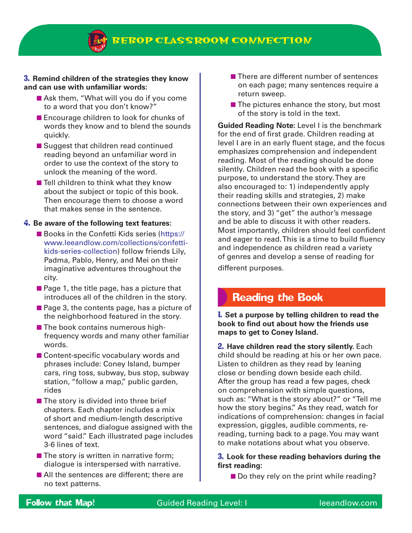**BEBOP CLASSROOM CONNECTION**

#### 3. **Remind children of the strategies they know and can use with unfamiliar words:**

- Ask them, "What will you do if you come to a word that you don't know?"
- Encourage children to look for chunks of words they know and to blend the sounds quickly.
- Suggest that children read continued reading beyond an unfamiliar word in order to use the context of the story to unlock the meaning of the word.
- Tell children to think what they know about the subject or topic of this book. Then encourage them to choose a word that makes sense in the sentence.

#### 4. **Be aware of the following text features:**

- Books in the Confetti Kids series (https:// www.leeandlow.com/collections/confettikids-series-collection) follow friends Lily, Padma, Pablo, Henry, and Mei on their imaginative adventures throughout the city.
- Page 1, the title page, has a picture that introduces all of the children in the story.
- Page 3, the contents page, has a picture of the neighborhood featured in the story.
- The book contains numerous highfrequency words and many other familiar words.
- Content-specific vocabulary words and phrases include: Coney Island, bumper cars, ring toss, subway, bus stop, subway station, "follow a map," public garden, rides
- The story is divided into three brief chapters. Each chapter includes a mix of short and medium-length descriptive sentences, and dialogue assigned with the word "said." Each illustrated page includes 3-6 lines of text.
- The story is written in narrative form; dialogue is interspersed with narrative.
- All the sentences are different; there are no text patterns.
- There are different number of sentences on each page; many sentences require a return sweep.
- $\blacksquare$  The pictures enhance the story, but most of the story is told in the text.

**Guided Reading Note:** Level I is the benchmark for the end of first grade. Children reading at level I are in an early fluent stage, and the focus emphasizes comprehension and independent reading. Most of the reading should be done silently. Children read the book with a specific purpose, to understand the story. They are also encouraged to: 1) independently apply their reading skills and strategies, 2) make connections between their own experiences and the story, and 3) "get" the author's message and be able to discuss it with other readers. Most importantly, children should feel confident and eager to read. This is a time to build fluency and independence as children read a variety of genres and develop a sense of reading for different purposes.

### Reading the Book

1. **Set a purpose by telling children to read the book to find out about how the friends use maps to get to Coney Island.** 

2. **Have children read the story silently.** Each child should be reading at his or her own pace. Listen to children as they read by leaning close or bending down beside each child. After the group has read a few pages, check on comprehension with simple questions, such as: "What is the story about?" or "Tell me how the story begins." As they read, watch for indications of comprehension: changes in facial expression, giggles, audible comments, rereading, turning back to a page. You may want to make notations about what you observe.

#### 3. **Look for these reading behaviors during the first reading:**

■ Do they rely on the print while reading?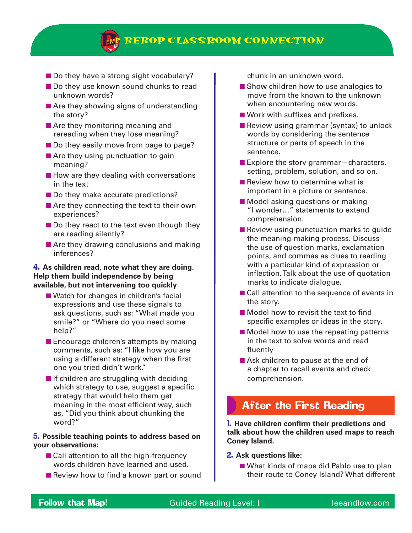

- Do they have a strong sight vocabulary?
- Do they use known sound chunks to read unknown words?
- Are they showing signs of understanding the story?
- Are they monitoring meaning and rereading when they lose meaning?
- Do they easily move from page to page?
- Are they using punctuation to gain meaning?
- How are they dealing with conversations in the text
- Do they make accurate predictions?
- Are they connecting the text to their own experiences?
- Do they react to the text even though they are reading silently?
- Are they drawing conclusions and making inferences?

#### 4. **As children read, note what they are doing. Help them build independence by being available, but not intervening too quickly**

- Watch for changes in children's facial expressions and use these signals to ask questions, such as: "What made you smile?" or "Where do you need some help?"
- Encourage children's attempts by making comments, such as: "I like how you are using a different strategy when the first one you tried didn't work."
- If children are struggling with deciding which strategy to use, suggest a specific strategy that would help them get meaning in the most efficient way, such as, "Did you think about chunking the word?"

#### 5. **Possible teaching points to address based on your observations:**

- Call attention to all the high-frequency words children have learned and used.
- Review how to find a known part or sound

chunk in an unknown word.

- Show children how to use analogies to move from the known to the unknown when encountering new words.
- Work with suffixes and prefixes.
- Review using grammar (syntax) to unlock words by considering the sentence structure or parts of speech in the sentence.
- Explore the story grammar characters, setting, problem, solution, and so on.
- Review how to determine what is important in a picture or sentence.
- Model asking questions or making "I wonder…" statements to extend comprehension.
- Review using punctuation marks to guide the meaning-making process. Discuss the use of question marks, exclamation points, and commas as clues to reading with a particular kind of expression or inflection. Talk about the use of quotation marks to indicate dialogue.
- Call attention to the sequence of events in the story.
- Model how to revisit the text to find specific examples or ideas in the story.
- Model how to use the repeating patterns in the text to solve words and read fluently
- Ask children to pause at the end of a chapter to recall events and check comprehension.

# After the First Reading

1. **Have children confirm their predictions and talk about how the children used maps to reach Coney Island.**

#### 2. **Ask questions like:**

■ What kinds of maps did Pablo use to plan their route to Coney Island? What different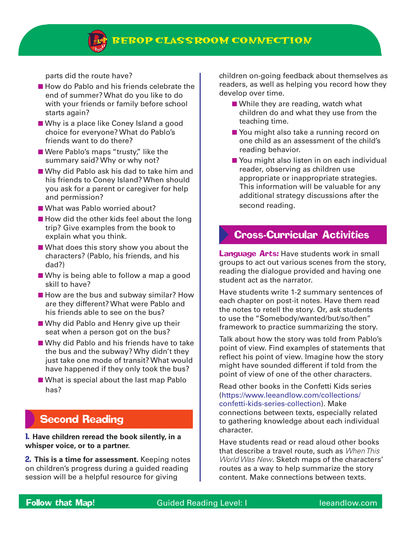

parts did the route have?

- How do Pablo and his friends celebrate the end of summer? What do you like to do with your friends or family before school starts again?
- Why is a place like Coney Island a good choice for everyone? What do Pablo's friends want to do there?
- Were Pablo's maps "trusty," like the summary said? Why or why not?
- Why did Pablo ask his dad to take him and his friends to Coney Island? When should you ask for a parent or caregiver for help and permission?
- What was Pablo worried about?
- How did the other kids feel about the long trip? Give examples from the book to explain what you think.
- What does this story show you about the characters? (Pablo, his friends, and his dad?)
- Why is being able to follow a map a good skill to have?
- How are the bus and subway similar? How are they different? What were Pablo and his friends able to see on the bus?
- Why did Pablo and Henry give up their seat when a person got on the bus?
- Why did Pablo and his friends have to take the bus and the subway? Why didn't they just take one mode of transit? What would have happened if they only took the bus?
- What is special about the last map Pablo has?

## Second Reading

1. **Have children reread the book silently, in a whisper voice, or to a partner.** 

2. **This is a time for assessment.** Keeping notes on children's progress during a guided reading session will be a helpful resource for giving

children on-going feedback about themselves as readers, as well as helping you record how they develop over time.

- While they are reading, watch what children do and what they use from the teaching time.
- You might also take a running record on one child as an assessment of the child's reading behavior.
- You might also listen in on each individual reader, observing as children use appropriate or inappropriate strategies. This information will be valuable for any additional strategy discussions after the second reading.

### Cross-Curricular Activities

**Language Arts:** Have students work in small groups to act out various scenes from the story, reading the dialogue provided and having one student act as the narrator.

Have students write 1-2 summary sentences of each chapter on post-it notes. Have them read the notes to retell the story. Or, ask students to use the "Somebody/wanted/but/so/then" framework to practice summarizing the story.

Talk about how the story was told from Pablo's point of view. Find examples of statements that reflect his point of view. Imagine how the story might have sounded different if told from the point of view of one of the other characters.

Read other books in the Confetti Kids series (https://www.leeandlow.com/collections/ confetti-kids-series-collection). Make connections between texts, especially related to gathering knowledge about each individual character.

Have students read or read aloud other books that describe a travel route, such as *When This World Was New*. Sketch maps of the characters' routes as a way to help summarize the story content. Make connections between texts.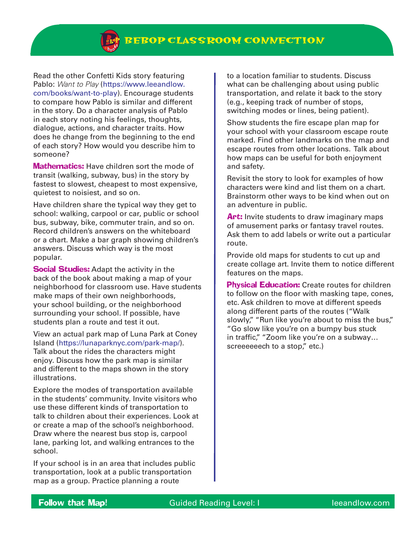**BEBOP CLASSROOM CONNECTION**

Read the other Confetti Kids story featuring Pablo: *Want to Play* (https://www.leeandlow. com/books/want-to-play). Encourage students to compare how Pablo is similar and different in the story. Do a character analysis of Pablo in each story noting his feelings, thoughts, dialogue, actions, and character traits. How does he change from the beginning to the end of each story? How would you describe him to someone?

**Mathematics:** Have children sort the mode of transit (walking, subway, bus) in the story by fastest to slowest, cheapest to most expensive, quietest to noisiest, and so on.

Have children share the typical way they get to school: walking, carpool or car, public or school bus, subway, bike, commuter train, and so on. Record children's answers on the whiteboard or a chart. Make a bar graph showing children's answers. Discuss which way is the most popular.

**Social Studies:** Adapt the activity in the back of the book about making a map of your neighborhood for classroom use. Have students make maps of their own neighborhoods, your school building, or the neighborhood surrounding your school. If possible, have students plan a route and test it out.

View an actual park map of Luna Park at Coney Island (https://lunaparknyc.com/park-map/). Talk about the rides the characters might enjoy. Discuss how the park map is similar and different to the maps shown in the story illustrations.

Explore the modes of transportation available in the students' community. Invite visitors who use these different kinds of transportation to talk to children about their experiences. Look at or create a map of the school's neighborhood. Draw where the nearest bus stop is, carpool lane, parking lot, and walking entrances to the school.

If your school is in an area that includes public transportation, look at a public transportation map as a group. Practice planning a route

to a location familiar to students. Discuss what can be challenging about using public transportation, and relate it back to the story (e.g., keeping track of number of stops, switching modes or lines, being patient).

Show students the fire escape plan map for your school with your classroom escape route marked. Find other landmarks on the map and escape routes from other locations. Talk about how maps can be useful for both enjoyment and safety.

Revisit the story to look for examples of how characters were kind and list them on a chart. Brainstorm other ways to be kind when out on an adventure in public.

Art: Invite students to draw imaginary maps of amusement parks or fantasy travel routes. Ask them to add labels or write out a particular route.

Provide old maps for students to cut up and create collage art. Invite them to notice different features on the maps.

**Physical Education:** Create routes for children to follow on the floor with masking tape, cones, etc. Ask children to move at different speeds along different parts of the routes ("Walk slowly," "Run like you're about to miss the bus," "Go slow like you're on a bumpy bus stuck in traffic," "Zoom like you're on a subway... screeeeeech to a stop," etc.)